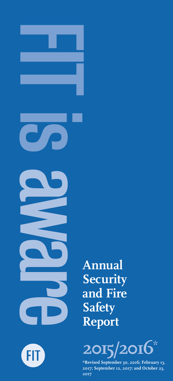

FIT)

**Security and Fire Safety Report**



**\*Revised September 30, 2016; February 13, 2017; September 12, 2017; and October 23, 2017**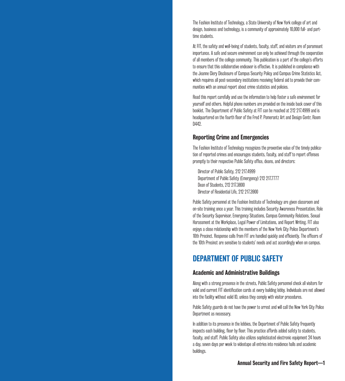The Fashion Institute of Technology, a State University of New York college of art and design, business and technology, is a community of approximately 10,000 full- and parttime students.

At FIT, the safety and well-being of students, faculty, staff, and visitors are of paramount importance. A safe and secure environment can only be achieved through the cooperation of all members of the college community. This publication is a part of the college's efforts to ensure that this collaborative endeavor is effective. It is published in compliance with the Jeanne Clery Disclosure of Campus Security Policy and Campus Crime Statistics Act, which requires all post-secondary institutions receiving federal aid to provide their communities with an annual report about crime statistics and policies.

Read this report carefully and use the information to help foster a safe environment for yourself and others. Helpful phone numbers are provided on the inside back cover of this booklet. The Department of Public Safety at FIT can be reached at 212 217.4999 and is headquartered on the fourth floor of the Fred P. Pomerantz Art and Design Centr, Room D<sub>442</sub>.

### Reporting Crime and Emergencies

The Fashion Institute of Technology recognizes the preventive value of the timely publication of reported crimes and encourages students, faculty, and staff to report offenses promptly to their respective Public Safety office, deans, and directors:

Director of Public Safety, 212 217.4999 Department of Public Safety (Emergency) 212 217.7777 Dean of Students, 212 217.3800 Director of Residential Life, 212 217.3900

Public Safety personnel at the Fashion Institute of Technology are given classroom and on-site training once a year. This training includes Security Awareness Presentation, Role of the Security Supervisor, Emergency Situations, Campus Community Relations, Sexual Harassment at the Workplace, Legal Power of Limitations, and Report Writing. FIT also enjoys a close relationship with the members of the New York City Police Department's 10th Precinct. Response calls from FIT are handled quickly and efficiently. The officers of the 10th Precinct are sensitive to students' needs and act accordingly when on campus.

### DEPARTMENT OF PUBLIC SAFETY

### Academic and Administrative Buildings

Along with a strong presence in the streets, Public Safety personnel check all visitors for valid and current FIT identification cards at every building lobby. Individuals are not allowed into the facility without valid ID, unless they comply with visitor procedures.

Public Safety guards do not have the power to arrest and will call the New York City Police Department as necessary.

In addition to its presence in the lobbies, the Department of Public Safety frequently inspects each building, floor by floor. This practice affords added safety to students, faculty, and staff. Public Safety also utilizes sophisticated electronic equipment 24 hours a day, seven days per week to videotape all entries into residence halls and academic buildings.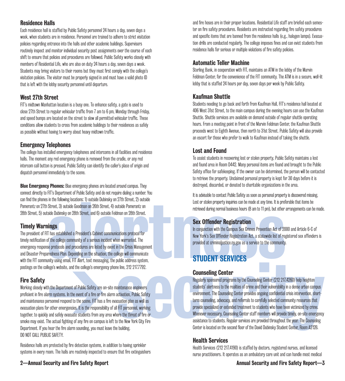### Residence Halls

Each residence hall is staffed by Public Safety personnel 24 hours a day, seven days a week, when students are in residence. Personnel are trained to adhere to strict visitation policies regarding entrance into the halls and other academic buildings. Supervisors routinely inspect and monitor individual security post assignments over the course of each shift to ensure that policies and procedures are followed. Public Safety works closely with members of Residential Life, who are also on duty 24 hours a day, seven days a week. Students may bring visitors to their rooms but they must first comply with the college's visitation policies. The visitor must be properly signed in and must have a valid photo ID that is left with the lobby security personnel until departure.

### West 27th Street

FIT's midtown Manhattan location is a busy one. To enhance safety, a gate is used to close 27th Street to regular vehicular traffic from 7 am to 6 pm, Monday through Friday, and speed bumps are located on the street to slow all permitted vehicular traffic. These conditions allow students to cross from academic buildings to their residences as safely as possible without having to worry about heavy midtown traffic.

### Emergency Telephones

The college has installed emergency telephones and intercoms in all facilities and residence halls. The moment any red emergency phone is removed from the cradle, or any red intercom call button is pressed, Public Safety can identify the caller's place of origin and dispatch personnel immediately to the scene.

**Blue Emergency Phones:** Blue emergency phones are located around campus. They connect directly to FIT's Department of Public Safety and do not require dialing a number. You can find the phones in the following locations: 1) outside Dubinsky on 27th Street, 2) outside Pomerantz on 27th Street, 3) outside Goodman on 26th Street, 4) outside Pomerantz on 28th Street, 5) outside Dubinsky on 28th Street, and 6) outside Feldman on 28th Street.

### Timely Warnings

in the following locations: 1) outside Dubinsky on 27th Street, 2) outside Pomperantz on<br>Street, 3) outside Goodman on 26th Street, 4) outside Pomperantz on<br>side Dubinsky on 28th Street, and 6) outside Feldman on 28th Stre The president of FIT has established a President's Cabinet communications protocol for timely notification of the college community of a serious incident when warranted. The emergency response protocols and procedures are listed by event in the Crisis Management and Disaster Preparedness Plan. Depending on the situation, the college will communicate with the FIT community using email, FIT Alert, text messaging, the public address system, postings on the college's website, and the college's emergency phone line, 212 217.7792.

### Fire Safety

Working closely with the Department of Public Safety are on-site maintenance engineers proficient in fire alarm systems. In the event of a fire or fire alarm activation, Public Safety and maintenance personnel respond to the scene. FIT has a fire evacuation plan as well as evacuation plans for other emergencies. It is the responsibility of all FIT personnel, working together, to quickly and safely evacuate students from any area where the threat of fire or smoke may exist. The actual fighting of any fire on campus is left to the New York City Fire Department. If you hear the fire alarm sounding, you must leave the building. DO NOT CALL PUBLIC SAFETY.

Residence halls are protected by fire detection systems, in addition to having sprinkler systems in every room. The halls are routinely inspected to ensure that fire extinguishers and fire hoses are in their proper locations. Residential Life staff are briefed each semester on fire safety procedures. Residents are instructed regarding fire safety procedures and specific items that are banned from the residence halls (e.g., halogen lamps). Evacuation drills are conducted regularly. The college imposes fines and can evict students from residence halls for serious or multiple violations of fire safety policies.

### Automatic Teller Machine

Sterling Bank, in cooperation with FIT, maintains an ATM in the lobby of the Marvin Feldman Center, for the convenience of the FIT community. The ATM is in a secure, well-lit lobby that is staffed 24 hours per day, seven days per week by Public Safety.

### Kaufman Shuttle

Students needing to go back and forth from Kaufman Hall, FIT's residence hall located at 406 West 31st Street, to the main campus during the evening hours can use the Kaufman Shuttle. Shuttle services are available on demand outside of regular shuttle operating hours. From a meeting point in front of the Marvin Feldman Center, the Kaufman Shuttle proceeds west to Eighth Avenue, then north to 31st Street. Public Safety will also provide an escort for those who prefer to walk to Kaufman instead of taking the shuttle.

### Lost and Found

To assist students in recovering lost or stolen property, Public Safety maintains a lost and found area in Room D442. Many personal items are found and brought to the Public Safety office for safekeeping. If the owner can be determined, the person will be contacted to retrieve the property. Unclaimed personal property is kept for 30 days before it is destroyed, discarded, or donated to charitable organizations in the area.

It is advisable to contact Public Safety as soon as personal property is discovered missing. Lost or stolen property inquiries can be made at any time. It is preferable that items be retrieved during normal business hours (8 am to 11 pm), but other arrangements can be made.

### Sex Offender Registration

In conjunction with the Campus Sex Crimes Prevention Act of 2000 and Article 6-C of New York's Sex Offender Registration Act, a statewide list of registered sex offenders is provided at criminaljustice.ny.gov as a service to the community.

# STUDENT SERVICES

### Counseling Center

mity using email, FIT Alert, text messaging, the public address system,<br>Ideg's website, and the college's emergency phone line, 212 217.7792.<br>
Lege's website, and the college's emergency phone line, 212 217.7792.<br>
The Depa Regularly sponsored programs by the Counseling Center (212 217.4260) help heighten students' alertness to the realities of crime and their vulnerability in a dense urban campus environment. The Counseling Center provides ongoing confidential crisis intervention, shortterm counseling, advocacy, and referrals to carefully selected community resources that provide specialized or extended treatment to students who have been victimized by crime. Whenever necessary, Counseling Center staff members will provide timely, on-site emergency assistance to students. Regular services are provided throughout the year. The Counseling Center is located on the second floor of the David Dubinsky Student Center, Room A212B.

### Health Services

Health Services (212 217.4190) is staffed by doctors, registered nurses, and licensed nurse practitioners. It operates as an ambulatory care unit and can handle most medical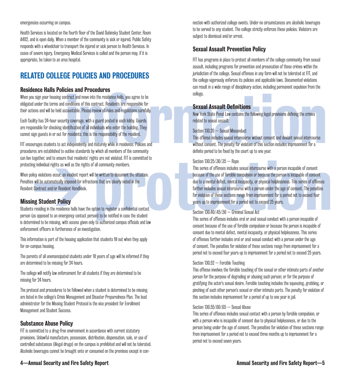### emergencies occurring on campus.

Health Services is located on the fourth floor of the David Dubinsky Student Center, Room A402, and is open daily. When a member of the community is sick or injured, Public Safety responds with a wheelchair to transport the injured or sick person to Health Services. In cases of severe injury, Emergency Medical Services is called and the person may, if it is appropriate, be taken to an area hospital.

# RELATED COLLEGE POLICIES AND PROCEDURES

### Residence Halls Policies and Procedures

When you sign your housing contract and move into the residence halls, you agree to be obligated under the terms and conditions of this contract. Residents are responsible for their actions and will be held accountable. Please review all rules and regulations carefully.

Each facility has 24-hour security coverage, with a guard posted in each lobby. Guards are responsible for checking identification of all individuals who enter the building. They cannot sign guests in or out for residents; this is the responsibility of the resident.

FIT encourages students to act independently and maturely while in residence. Policies and procedures are established to outline standards by which all members of the community can live together, and to ensure that residents' rights are not violated. FIT is committed to protecting individual rights as well as the rights of all community members.

When policy violations occur, an incident report will be written to document the situation. Penalties will be automatically imposed for infractions that are clearly noted in the Resident Contract and/or Resident Handbook.

### Missing Student Policy

Students residing in the residence halls have the option to register a confidential contact person (as opposed to an emergency contact person) to be notified in case the student is determined to be missing, with access given only to authorized campus officials and law enforcement officers in furtherance of an investigation.

This information is part of the housing application that students fill out when they apply for on-campus housing.

The parents of all unemancipated students under 18 years of age will be informed if they are determined to be missing for 24 hours.

The college will notify law enforcement for all students if they are determined to be missing for 24 hours.

The protocol and procedures to be followed when a student is determined to be missing are listed in the college's Crisis Management and Disaster Preparedness Plan. The lead administrator for the Missing Student Protocol is the vice president for Enrollment Management and Student Success.

### Substance Abuse Policy

FIT is committed to a drug-free environment in accordance with current statutory provisions. Unlawful manufacture, possession, distribution, dispensation, sale, or use of controlled substances (illegal drugs) on the campus is prohibited and will not be tolerated. Alcoholic beverages cannot be brought onto or consumed on the premises except in connection with authorized college events. Under no circumstances are alcoholic beverages to be served to any student. The college strictly enforces these policies. Violators are subject to dismissal and/or arrest.

### Sexual Assault Prevention Policy

FIT has programs in place to protect all members of the college community from sexual assault, including programs for prevention and prosecution of these crimes within the jurisdiction of the college. Sexual offenses in any form will not be tolerated at FIT, and the college vigorously enforces its policies and applicable laws. Documented violations can result in a wide range of disciplinary action, including permanent expulsion from the college.

### Sexual Assault Definitions

New York State Penal Law contains the following legal provisions defining the crimes related to sexual assault:

### Section 130.20 – Sexual Misconduct

erice Haris Poincies and Proceedures<br>
in sign your housing contract and move into the residence halls, you agree to be<br>
informations of this contract. Residents are responsible for<br>
inty has 24-hour security coverage, with This offense includes sexual intercourse without consent and deviant sexual intercourse without consent. The penalty for violation of this section includes imprisonment for a definite period to be fixed by the court up to one year.

### Section 130.25/.30/.35 – Rape

ogether, and to ensure that residents' rights are not violated. FIT is committed to<br>By violations occur, an incident report will be written to document the stuation.<br>This series of offenses includes sexual intercourse with This series of offenses includes sexual intercourse with a person incapable of consent because of the use of forcible compulsion or because the person is incapable of consent due to a mental defect, mental incapacity, or physical helplessness. This series of offenses further includes sexual intercourse with a person under the age of consent. The penalties for violation of these sections range from imprisonment for a period not to exceed four years up to imprisonment for a period not to exceed 25 years.

### Section 130.40/.45/.50 – Criminal Sexual Act

This series of offenses includes oral or anal sexual conduct with a person incapable of consent because of the use of forcible compulsion or because the person is incapable of consent due to mental defect, mental incapacity, or physical helplessness. This series of offenses further includes oral or anal sexual conduct with a person under the age of consent. The penalties for violation of these sections range from imprisonment for a period not to exceed four years up to imprisonment for a period not to exceed 25 years.

### Section 130.52 – Forcible Touching

This offense involves the forcible touching of the sexual or other intimate parts of another person for the purpose of degrading or abusing such person; or for the purpose of gratifying the actor's sexual desire. Forcible touching includes the squeezing, grabbing, or pinching of such other person's sexual or other intimate parts. The penalty for violation of this section includes imprisonment for a period of up to one year in jail.

### Section 130.55/.60/.65 – Sexual Abuse

This series of offenses includes sexual contact with a person by forcible compulsion, or with a person who is incapable of consent due to physical helplessness, or due to the person being under the age of consent. The penalties for violation of these sections range from imprisonment for a period not to exceed three months up to imprisonment for a period not to exceed seven years.

### 4—Annual Security and Fire Safety Report Annual Security and Fire Safety Report—5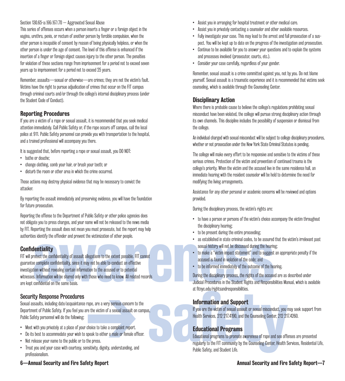### Section 130.65-a/.66/.67/.70 – Aggravated Sexual Abuse

This series of offenses occurs when a person inserts a finger or a foreign object in the vagina, urethra, penis, or rectum of another person by forcible compulsion, when the other person is incapable of consent by reason of being physically helpless, or when the other person is under the age of consent. The level of this offense is enhanced if the insertion of a finger or foreign object causes injury to the other person. The penalties for violation of these sections range from imprisonment for a period not to exceed seven years up to imprisonment for a period not to exceed 25 years.

Remember, assaults—sexual or otherwise—are crimes; they are not the victim's fault. Victims have the right to pursue adjudication of crimes that occur on the FIT campus through criminal courts and/or through the college's internal disciplinary process (under the Student Code of Conduct).

### Reporting Procedures

If you are a victim of a rape or sexual assault, it is recommended that you seek medical attention immediately. Call Public Safety or, if the rape occurs off campus, call the local police at 911. Public Safety personnel can provide you with transportation to the hospital, and a trained professional will accompany you there.

It is suggested that, before reporting a rape or sexual assault, you DO NOT:

- bathe or douche;
- change clothing, comb your hair, or brush your teeth; or
- disturb the room or other area in which the crime occurred.

Those actions may destroy physical evidence that may be necessary to convict the attacker.

By reporting the assault immediately and preserving evidence, you will have the foundation for future prosecution.

Reporting the offense to the Department of Public Safety or other police agencies does not obligate you to press charges, and your name will not be released to the news media by FIT. Reporting the assault does not mean you must prosecute, but the report may help authorities identify the offender and prevent the victimization of other people.

### **Confidentiality**

example the offender and prevent the victimization of other people.<br>
as established in state criminal codes, to be assured<br>
are complete confidentiality of assault allegations to the extent possible. FIT cannot<br>
are comple FIT will protect the confidentiality of assault allegations to the extent possible. FIT cannot guarantee complete confidentiality, since it may not be able to conduct an effective investigation without revealing certain information to the accused or to potential witnesses. Information will be shared only with those who need to know. All related records are kept confidential on the same basis.

### Security Response Procedures

at https://ghtsandresponsibilities.<br>
Seaults, including date/acquaintance rape, are a very serious concern to the<br>
ent of Public Safety. If you are the victim of a sexual assault on campus,<br>
Figure are victim of sexual ass Sexual assaults, including date/acquaintance rape, are a very serious concern to the Department of Public Safety. If you feel you are the victim of a sexual assault on campus, Public Safety personnel will do the following:

- Meet with you privately at a place of your choice to take a complaint report.
- Do its best to accommodate your wish to speak to either a male or female officer.
- Not release your name to the public or to the press.
- Treat you and your case with courtesy, sensitivity, dignity, understanding, and professionalism.
- Assist you in arranging for hospital treatment or other medical care.
- Assist you in privately contacting a counselor and other available resources.
- Fully investigate your case. This may lead to the arrest and full prosecution of a suspect. You will be kept up to date on the progress of the investigation and prosecution.
- Continue to be available for you to answer your questions and to explain the systems and processes involved (prosecutor, courts, etc.).
- Consider your case carefully, regardless of your gender.

Remember, sexual assault is a crime committed against you, not by you. Do not blame yourself. Sexual assault is a traumatic experience and it is recommended that victims seek counseling, which is available through the Counseling Center.

### Disciplinary Action

Where there is probable cause to believe the college's regulations prohibiting sexual misconduct have been violated, the college will pursue strong disciplinary action through its own channels. This discipline includes the possibility of suspension or dismissal from the college.

An individual charged with sexual misconduct will be subject to college disciplinary procedures, whether or not prosecution under the New York State Criminal Statutes is pending.

The college will make every effort to be responsive and sensitive to the victims of these serious crimes. Protection of the victim and prevention of continued trauma is the college's priority. When the victim and the accused live in the same residence hall, an immediate hearing with the resident counselor will be held to determine the need for modifying the living arrangements.

Assistance for any other personal or academic concerns will be reviewed and options provided.

During the disciplinary process, the victim's rights are:

- to have a person or persons of the victim's choice accompany the victim throughout the disciplinary hearing;
- to be present during the entire proceeding;
- as established in state criminal codes, to be assured that the victim's irrelevant past sexual history will not be discussed during the hearing;
- to make a "victim impact statement" and to suggest an appropriate penalty if the accused is found in violation of the code; and
- to be informed immediately of the outcome of the hearing.

During the disciplinary process, the rights of the accused are as described under Judicial Procedures in the Student Rights and Responsibilities Manual, which is available at fitnyc.edu/rightsandresponsibilities.

### Information and Support

If you are the victim of sexual assault or sexual misconduct, you may seek support from Health Services, 212 217.4190, and the Counseling Center, 212 217.4260.

### Educational Programs

Educational programs to promote awareness of rape and sex offenses are presented regularly to the FIT community by the Counseling Center, Health Services, Residential Life, Public Safety, and Student Life.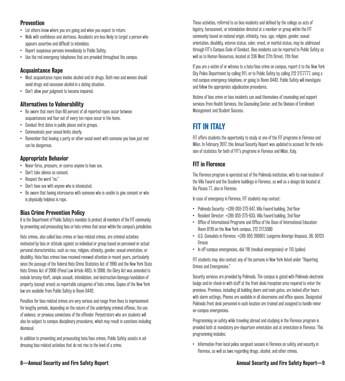### Prevention

- Let others know where you are going and when you expect to return.
- Walk with confidence and alertness. Assailants are less likely to target a person who appears assertive and difficult to intimidate.
- Report suspicious persons immediately to Public Safety.
- Use the red emergency telephones that are provided throughout the campus.

### Acquaintance Rape

- Most acquaintance rapes involve alcohol and/or drugs. Both men and women should avoid drugs and excessive alcohol in a dating situation.
- Don't allow your judgment to become impaired.

### Alternatives to Vulnerability

- Be aware that more than 60 percent of all reported rapes occur between acquaintances and four out of every ten rapes occur in the home.
- Conduct first dates in public places and in groups.
- Communicate your sexual limits clearly.
- Remember that leaving a party or other social event with someone you have just met can be dangerous.

### Appropriate Behavior

- Never force, pressure, or coerce anyone to have sex.
- Don't take silence as consent.
- Respect the word "no."
- Don't have sex with anyone who is intoxicated.
- Be aware that having intercourse with someone who is unable to give consent or who is physically helpless is rape.

### Bias Crime Prevention Policy

It is the Department of Public Safety's mandate to protect all members of the FIT community by preventing and prosecuting bias or hate crimes that occur within the campus's jurisdiction.

Hate crimes, also called bias crimes or bias-related crimes, are criminal activities motivated by bias or attitude against an individual or group based on perceived or actual personal characteristics, such as race, religion, ethnicity, gender, sexual orientation, or disability. Hate/bias crimes have received renewed attention in recent years, particularly since the passage of the federal Hate Crime Statistics Act of 1990 and the New York State Hate Crimes Act of 2000 (Penal Law Article 485). In 2008, the Clery Act was amended to include larceny-theft, simple assault, intimidation, and destruction/damage/vandalism of property (except arson) as reportable categories of hate crimes. Copies of the New York law are available from Public Safety in Room D442.

Penalties for bias-related crimes are very serious and range from fines to imprisonment for lengthy periods, depending on the nature of the underlying criminal offense, the use of violence, or previous convictions of the offender. Perpetrators who are students will also be subject to campus disciplinary procedures, which may result in sanctions including dismissal.

In addition to preventing and prosecuting hate/bias crimes, Public Safety assists in addressing bias-related activities that do not rise to the level of a crime.

These activities, referred to as bias incidents and defined by the college as acts of bigotry, harassment, or intimidation directed at a member or group within the FIT community based on national origin, ethnicity, race, age, religion, gender, sexual orientation, disability, veteran status, color, creed, or marital status, may be addressed through FIT's Campus Code of Conduct. Bias incidents can be reported to Public Safety as well as to Human Resources, located at 236 West 27th Street, 11th floor.

If you are a victim of or witness to a hate/bias crime on campus, report it to the New York City Police Department by calling 911, or to Public Safety by calling 212 217.7777, using a red campus emergency telephone, or going to Room D442. Public Safety will investigate and follow the appropriate adjudication procedures.

Victims of bias crime or bias incidents can avail themselves of counseling and support services from Health Services, the Counseling Center, and the Division of Enrollment Management and Student Success.

# FIT IN ITALY

FIT offers students the opportunity to study at one of the FIT programs in Florence and Milan. In February 2017, this Annual Security Report was updated to account for the inclusion of statistics for both of FIT's programs in Florence and Milan, Italy.

### FIT in Florence

The Florence program is operated out of the Polimoda institution, with its main location of the Villa Favard and the Scuderie buildings in Florence, as well as a design lab located at Via Pisana 77, also in Florence.

In case of emergency in Florence, FIT students may contact:

- Polimoda Security: +(39) 055-275 647, Villa Favard building, 2nd floor
- Resident Director: +(39) 055-275-633, Villa Favard building, 2nd floor
- Office of International Programs and Office of the Dean of International Education: Room B119 on the New York campus, 212 217.5380
- U.S. Consulate in Florence: +(39) 055 266951, Lungarno Amerigo Vespucci, 38, 50123 Firenze
- In off-campus emergencies, dial 118 (medical emergencies) or 113 (police)

FIT students may also contact any of the persons in New York listed under "Reporting Crimes and Emergencies."

Security services are provided by Polimoda. The campus is gated with Polimoda electronic badge and/or check-in with staff at the front desk/reception area required to enter the premises. Premises, including all building doors and main gates, are locked after hours with alarm settings. Phones are available in all classrooms and office spaces. Designated Polimoda front desk personnel in each location are trained and assigned to handle minor on-campus emergencies.

Programming on safety while traveling abroad and studying in the Florence program is provided both at mandatory pre-departure orientation and at orientation in Florence. This programming includes:

• Information from local police sergeant session in Florence on safety and security in Florence, as well as laws regarding drugs, alcohol, and other crimes.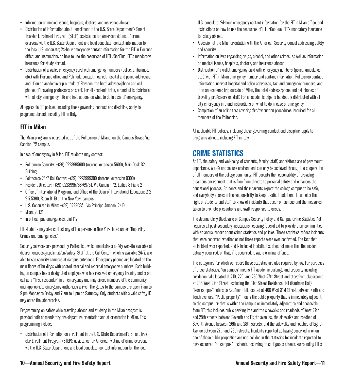- Information on medical issues, hospitals, doctors, and insurance abroad.
- Distribution of information about: enrollment in the U.S. State Department's Smart Traveler Enrollment Program (STEP); assistance for American victims of crime overseas via the U.S. State Department and local consulate; contact information for the local U.S. consulate; 24-hour emergency contact information for the FIT in Florence office; and instructions on how to use the resources of HTH/GeoBlue, FIT's mandatory insurance for study abroad.
- Distribution of a wallet emergency card with emergency numbers (police, ambulance, etc.) with Florence office and Polimoda contact, nearest hospital and police addresses, and, if on an academic trip outside of Florence, the hotel address/phone and cell phones of traveling professors or staff. For all academic trips, a handout is distributed with all city emergency info and instructions on what to do in case of emergency.

All applicable FIT policies, including those governing conduct and discipline, apply to programs abroad, including FIT in Italy.

### FIT in Milan

The Milan program is operated out of the Politecnico di Milano, on the Campus Bovisa Via Candiani 72 campus.

In case of emergency in Milan, FIT students may contact:

- Politecnico Security: +(39) 0223995600 (internal extension 5600), Main Desk B2 **Building**
- Politecnico 24/7 Call Center: +(39) 0223999300 (internal extension 9300)
- Resident Director: +(39) 0223995768/69/61, Via Candiani 72, Edifico 8 Piano 2
- Office of International Programs and Office of the Dean of International Education: 212 217.5380, Room B119 on the New York campus
- U.S. Consulate in Milan: +(39) 02290351, Via Principe Amedeo, 2/10
- Milan, 20121
- In off-campus emergencies, dial 112

FIT students may also contact any of the persons in New York listed under "Reporting Crimes and Emergencies."

Security services are provided by Politecnico, which maintains a safety website available at dipartimentodesign.polimi.it/en/safety. Staff at the Call Center, which is available 24/7, are able to see security cameras at campus entrances. Emergency phones are located on the main floors of buildings with posted internal and external emergency numbers. Each building on campus has a designated employee who has received emergency training and is on call as a "first responder" in an emergency and may direct members of the community until appropriate emergency authorities arrive. The gates to the campus are open 7 am to 9 pm Monday to Friday and 7 am to 1 pm on Saturday. Only students with a valid safety ID may enter the laboratories.

Programming on safety while traveling abroad and studying in the Milan program is provided both at mandatory pre-departure orientation and at orientation in Milan. This programming includes:

• Distribution of information on enrollment in the U.S. State Department's Smart Traveler Enrollment Program (STEP); assistance for American victims of crime overseas via the U.S. State Department and local consulate; contact information for the local

U.S. consulate; 24-hour emergency contact information for the FIT in Milan office; and instructions on how to use the resources of HTH/GeoBlue, FIT's mandatory insurance for study abroad.

- A session at the Milan orientation with the American Security Consul addressing safety and security.
- Information on laws regarding drugs, alcohol, and other crimes, as well as information on medical issues, hospitals, doctors, and insurance abroad.
- Distribution of a wallet emergency card with emergency numbers (police, ambulance, etc.) with FIT in Milan emergency number and contact information, Politecnico contact information, nearest hospital and police addresses, taxi and emergency numbers, and, if on an academic trip outside of Milan, the hotel address/phone and cell phones of traveling professors or staff. For all academic trips, a handout is distributed with all city emergency info and instructions on what to do in case of emergency.
- Completion of an online test covering fire/evacuation procedures, required for all members of the Politecnico.

All applicable FIT policies, including those governing conduct and discipline, apply to programs abroad, including FIT in Italy.

# CRIME STATISTICS

At FIT, the safety and well-being of students, faculty, staff, and visitors are of paramount importance. A safe and secure environment can only be achieved through the cooperation of all members of the college community. FIT accepts the responsibility of providing a campus environment that is free from threats to personal safety and enhances the educational process. Students and their parents expect the college campus to be safe, and everybody shares in the responsibility to keep it safe. In addition, FIT upholds the right of students and staff to know of incidents that occur on campus and the measures taken to promote precautions and swift responses to crises.

The Jeanne Clery Disclosure of Campus Security Policy and Campus Crime Statistics Act requires all post-secondary institutions receiving federal aid to provide their communities with an annual report about crime statistics and policies. These statistics reflect incidents that were reported, whether or not those reports were ever confirmed. The fact that an incident was reported, and is included in statistics, does not mean that the incident actually occurred, or that, if it occurred, it was a criminal offense.

The categories for which we report these statistics are also required by law. For purposes of these statistics, "on campus" means FIT academic buildings and property including residence halls located at 210, 220, and 230 West 27th Street and storefront classrooms at 236 West 27th Street, excluding the 31st Street Residence Hall (Kaufman Hall). "Non-campus" refers to Kaufman Hall, located at 406 West 31st Street between Ninth and Tenth avenues. "Public property" means the public property that is immediately adjacent to the campus, or that is within the campus or immediately adjacent to and accessible from FIT; this includes public parking lots and the sidewalks and roadbeds of West 27th and 28th streets between Seventh and Eighth avenues, the sidewalks and roadbed of Seventh Avenue between 26th and 28th streets, and the sidewalks and roadbed of Eighth Avenue between 27th and 28th streets. Incidents reported as having occurred in or on one of those public properties are not included in the statistics for incidents reported to have occurred "on campus." Incidents occurring on contiguous streets surrounding FIT's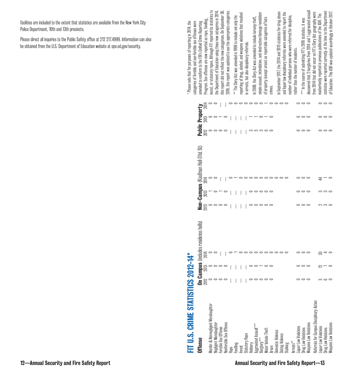facilities are included to the extent that statistics are available from the New York City Police Department, 10th and 13th precincts.

Please direct all inquiries to the Public Safety office at 212 217.4999. Information can also be obtained from the U.S. Department of Education website at ope.ed.gov/security.

| FIT U.S. CRIME STATISTICS 2012-14*                   |                                                   |                            |      |                                   |  |                         | categories of forcible and non-forcible sex offenses were<br>Please note that for purposes of reporting in 2014, the |
|------------------------------------------------------|---------------------------------------------------|----------------------------|------|-----------------------------------|--|-------------------------|----------------------------------------------------------------------------------------------------------------------|
| <b>Offense</b>                                       | <b>On Campus</b><br>$2012$<br>$013$<br>$0$<br>$0$ | (includes residence halls) | 2012 | Non-Campus (Kaufman Hall-31st St) |  | Public Property<br>2013 | Program. Sex offenses are now reported as rape, fondling,<br>amended to conform to the FBI's Unified Crime Reporting |
| Murder & Nonnegligent Manslaughter                   |                                                   |                            |      |                                   |  |                         | ncest, or statutory rapoe. Although FIT reported its statistics to                                                   |
| <b>Vegligent Manslaughter</b><br>orcible Sex Offense |                                                   |                            |      |                                   |  |                         | he Department of Education using these new categories in 2014,                                                       |
| Nonforcible Sex Offense                              |                                                   |                            |      |                                   |  |                         | this report did not reflect the new categproes. On September 30,                                                     |
|                                                      |                                                   |                            |      |                                   |  |                         | 2016, this report was updated to use the appropriate categories.                                                     |
| Fondling                                             |                                                   |                            |      |                                   |  |                         | ** The Glery Act was amended in 1998 to include not only the                                                         |
| Incest                                               |                                                   |                            |      |                                   |  |                         | reporting of drug, alcohol, and weapons violations that resulted                                                     |
| <b>Statutory Rape</b>                                |                                                   |                            |      |                                   |  |                         | in arrests, but also disciplinary referrals.                                                                         |
| Robbery                                              |                                                   |                            |      |                                   |  |                         | In 2008, the Clery Act was amended to include larceny-theft                                                          |
| Aggravated Assault***<br>Burglary***                 |                                                   |                            |      |                                   |  |                         | simple assault, intimidation, and destruction/dama <i>ge/</i> vandalism                                              |
| Motor Vehicle Theft                                  |                                                   |                            |      |                                   |  |                         | of property (except arson) as reportable categories of hate                                                          |
| Arson                                                |                                                   |                            |      |                                   |  |                         | crimes.                                                                                                              |
| <b>Domestic Violence</b>                             |                                                   |                            |      |                                   |  |                         | In September 2017, the 2014 and 2015 statistics for drug abuse                                                       |
| <b>Jating Violence</b><br>Stalking                   |                                                   |                            |      |                                   |  |                         | and liquor law disciplinary referrals were amended to report the                                                     |
| Arrests***                                           |                                                   |                            |      |                                   |  |                         | rumber of individual persons who were referred for discipline,                                                       |
| Liquor Law Violations                                |                                                   |                            |      |                                   |  |                         | rather than the number of incidents.                                                                                 |
| <b>Drug Law Violations</b>                           |                                                   |                            |      |                                   |  |                         | "* In the course of submitting FIT's 2016 statistics, it was                                                         |
| <b>Jeapons Law Violations</b>                        |                                                   |                            |      |                                   |  |                         | discovered that 2 burglaries from 2014 and 1 aggravated assault                                                      |
| Referrals for Campus Disciplinary Action             |                                                   |                            |      |                                   |  |                         | from 2014 that did not occur on FIT's Glery Act geography were                                                       |
| Liquor Law Violations                                |                                                   |                            |      |                                   |  |                         | nadvertently reported in previous publications of the ASR. The                                                       |
| <b>Drug Law Violations</b>                           |                                                   |                            |      |                                   |  |                         | statistics were reported correctly at the time to the Department                                                     |
| <b>Neapons Law Violations</b>                        |                                                   |                            |      |                                   |  |                         | of Education. This ASR was updated accordingly in October 2017.                                                      |

### 12—Annual Security and Fire Safety Report **Annual Security and Fire Safety Report**—13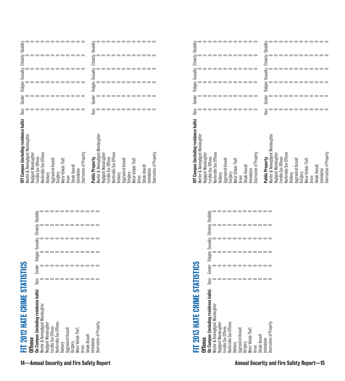| <b>Diffense</b>                         |      |  |                                                |  |
|-----------------------------------------|------|--|------------------------------------------------|--|
| In Campus (including residence halls)   | Race |  | Gender Religion Sexuality Ethnicity Disability |  |
| t Manslaughter<br>furder & Nonnegligent |      |  |                                                |  |
| egligent Manslaughter                   |      |  |                                                |  |
| orcible Sex Offense                     |      |  |                                                |  |
| <b>Intense</b><br>onforcible Sex (      |      |  |                                                |  |
| tobbery                                 |      |  |                                                |  |
| ggravated Assauli                       |      |  |                                                |  |
| Jurglary                                |      |  |                                                |  |
| <b>Aotor Vehicle Theft</b>              |      |  |                                                |  |
| <b>IUSSON</b>                           |      |  |                                                |  |
| limple Assault                          |      |  |                                                |  |
| htimidation                             |      |  |                                                |  |
| estruction of Property                  |      |  |                                                |  |

|                                                                                                                                                                                                                                                                                                                                                                                                                                                                                         | °°°°°°°°°°°                                                                                                                                                                                                                                                                  | -----------                                                                                                                                                                                                                                                                                                                                                                                                                                                                                                                                                                                                                                         | ---------                                                                                                                                                                                                                                                                     |
|-----------------------------------------------------------------------------------------------------------------------------------------------------------------------------------------------------------------------------------------------------------------------------------------------------------------------------------------------------------------------------------------------------------------------------------------------------------------------------------------|------------------------------------------------------------------------------------------------------------------------------------------------------------------------------------------------------------------------------------------------------------------------------|-----------------------------------------------------------------------------------------------------------------------------------------------------------------------------------------------------------------------------------------------------------------------------------------------------------------------------------------------------------------------------------------------------------------------------------------------------------------------------------------------------------------------------------------------------------------------------------------------------------------------------------------------------|-------------------------------------------------------------------------------------------------------------------------------------------------------------------------------------------------------------------------------------------------------------------------------|
|                                                                                                                                                                                                                                                                                                                                                                                                                                                                                         | Disability                                                                                                                                                                                                                                                                   | Disability                                                                                                                                                                                                                                                                                                                                                                                                                                                                                                                                                                                                                                          | Disability                                                                                                                                                                                                                                                                    |
| Ethnicity                                                                                                                                                                                                                                                                                                                                                                                                                                                                               | Ethnicity I                                                                                                                                                                                                                                                                  | Ethnicity I                                                                                                                                                                                                                                                                                                                                                                                                                                                                                                                                                                                                                                         | Ethnicity I                                                                                                                                                                                                                                                                   |
| °°°°°°°°°°°°                                                                                                                                                                                                                                                                                                                                                                                                                                                                            | 00000000000                                                                                                                                                                                                                                                                  | ------------                                                                                                                                                                                                                                                                                                                                                                                                                                                                                                                                                                                                                                        | 0000000000                                                                                                                                                                                                                                                                    |
|                                                                                                                                                                                                                                                                                                                                                                                                                                                                                         |                                                                                                                                                                                                                                                                              |                                                                                                                                                                                                                                                                                                                                                                                                                                                                                                                                                                                                                                                     | pooooooooo<br>Sexualit                                                                                                                                                                                                                                                        |
| Religion                                                                                                                                                                                                                                                                                                                                                                                                                                                                                | Religion                                                                                                                                                                                                                                                                     | <b>Religion</b>                                                                                                                                                                                                                                                                                                                                                                                                                                                                                                                                                                                                                                     | Religion                                                                                                                                                                                                                                                                      |
| ------------                                                                                                                                                                                                                                                                                                                                                                                                                                                                            | ------------                                                                                                                                                                                                                                                                 | ------------                                                                                                                                                                                                                                                                                                                                                                                                                                                                                                                                                                                                                                        | 0000000000                                                                                                                                                                                                                                                                    |
| Gender                                                                                                                                                                                                                                                                                                                                                                                                                                                                                  | Gender                                                                                                                                                                                                                                                                       | Gender                                                                                                                                                                                                                                                                                                                                                                                                                                                                                                                                                                                                                                              | Gender                                                                                                                                                                                                                                                                        |
| 00000000000                                                                                                                                                                                                                                                                                                                                                                                                                                                                             | ------------                                                                                                                                                                                                                                                                 | ------------                                                                                                                                                                                                                                                                                                                                                                                                                                                                                                                                                                                                                                        | -----------                                                                                                                                                                                                                                                                   |
| °°°°°°°°°°°°°                                                                                                                                                                                                                                                                                                                                                                                                                                                                           | Race                                                                                                                                                                                                                                                                         | Race                                                                                                                                                                                                                                                                                                                                                                                                                                                                                                                                                                                                                                                |                                                                                                                                                                                                                                                                               |
| Race                                                                                                                                                                                                                                                                                                                                                                                                                                                                                    | °°°°°°°°°°°°°                                                                                                                                                                                                                                                                | ------------                                                                                                                                                                                                                                                                                                                                                                                                                                                                                                                                                                                                                                        |                                                                                                                                                                                                                                                                               |
| Off Campus (including residence halls)<br>Murder & Nonnegligent Manslaughter<br>Destruction of Property<br>Nonforcible Sex Offense<br>Negligent Manslaughter<br>Forcible Sex Offense<br>Aggravated Assault<br><b>Motor Vehicle Theft</b><br>Simple Assault<br>Intimidation<br>Burglary<br>Robbery<br><b>Arson</b>                                                                                                                                                                       | Murder & Nonnegligent Manslaughter<br>Nonforcible Sex Offense<br>Destruction of Property<br>Negligent Manslaughter<br>For able Sex Offense<br>Public Property<br>Burglary<br>Motor Vehicle Theft<br>Aggravated Assault<br>Simple Assault<br>Intimidation<br>Robbery<br>Arson | Off Campus (including residence halls)<br>Murder & Nonnegligent Manslaughter<br>Nonforcible Sex Offense<br>Negligent Manslaughter<br>For able Sex Offense<br>Burglary<br>Motor Vehicle Theft<br>Aggravated Assault<br>Simple Assault<br>ntimidation<br>Robbery<br><b>Arson</b>                                                                                                                                                                                                                                                                                                                                                                      | Murder & Nonnegligent Manslaughter<br>Destruction of Property<br>Nonforcible Sex Offense<br>Negligent Manslaughter<br>Public Property<br>For aible Sex Offense<br>Aggravated Assault<br>Motor Vehicle Theft<br>Simple Assault<br>Intimidation<br>Burglary<br>Robbery<br>Arson |
| ,,,,,,,,,,,<br>Disability<br>Ethnicity<br>,,,,,,,,,,,<br>,,,,,,,,,,,<br>Sexuality<br>Religion<br>------------<br><b>STATISTICS</b><br>------------<br>Gender<br>,,,,,,,,,,,<br>Race<br>On Campus (including residence halls)<br>FIT 2012 HATE CRIME<br>Murder & Nonnegligent Manslaughter<br>Negligent Manslaughter<br>Forcible Sex Offense<br>Nonforcible Sex Offense<br>Robbery<br>Aggravated Assault<br>Burglary<br>Motor Vehicle Theft<br>Arson<br>Simple Assault<br><b>Offense</b> | Intimidation<br>Destruction of Property                                                                                                                                                                                                                                      | ------------<br>Ethnicity<br>n<br>sala<br>salah di salah di salah di salah di salah di salah di salah di salah di salah di salah di salah di salah<br>salah di salah di salah di salah di salah di salah di salah di salah di salah di salah di salah di salah di s<br>Religion<br>------------<br><b>STATISTICS</b><br>00000000000<br>Gender<br>------------<br>Race<br>ន្ទា<br>FIT 2013 HATE CRIME<br>On Campus (including residence hal<br>Murder & Nonnegligent Manslaughter<br>Nonforcible Sex Offense<br>Negligent Manslaughter<br>Forcible Sex Offense<br>Robbery<br>Aggravated Assault<br>Burglary<br>Motor Vehicle Theft<br><b>Offense</b> | Intimidation<br>Destruction of Property<br>Arson<br>Simple Assault                                                                                                                                                                                                            |
| 14-Annual Security and Fire Safety Report                                                                                                                                                                                                                                                                                                                                                                                                                                               |                                                                                                                                                                                                                                                                              |                                                                                                                                                                                                                                                                                                                                                                                                                                                                                                                                                                                                                                                     | <b>Annual Security and Fire Safety Report-15</b>                                                                                                                                                                                                                              |

| <b>Offense</b>                        |      |        |                                         |  |
|---------------------------------------|------|--------|-----------------------------------------|--|
| In Campus (including residence halls) | Race | Gender | Religion Sexuality Ethnicity Disability |  |
| Aurder & Nonnegligent Manslaughter    |      |        |                                         |  |
| legligent Manslaughter                |      |        |                                         |  |
| orcible Sex Offense                   |      |        |                                         |  |
| <b>Ionforcible Sex Offense</b>        |      |        |                                         |  |
| Robbery                               |      |        |                                         |  |
| egravated Assault                     |      |        |                                         |  |
| Burglary                              |      |        |                                         |  |
| <i><b>Motor Vehicle Theft</b></i>     |      |        |                                         |  |
| Arson                                 |      |        |                                         |  |
| Simple Assault                        |      |        |                                         |  |
| <b>utimidation</b>                    |      |        |                                         |  |
|                                       |      |        |                                         |  |

| Off Campus (including residence halls)<br>Murder & Nonnegligent Manslaughter | Race | Gender |  | Religion Sexuality Ethnicity Disability |  |
|------------------------------------------------------------------------------|------|--------|--|-----------------------------------------|--|
| Negligent Manslaughter                                                       |      |        |  |                                         |  |
| For able Sex Offense                                                         |      |        |  |                                         |  |
| Nonforcible Sex Offense                                                      |      |        |  |                                         |  |
| Robbery                                                                      |      |        |  |                                         |  |
| Aggravated Assault                                                           |      |        |  |                                         |  |
| Burglary                                                                     |      |        |  |                                         |  |
| Motor Vehicle Theft                                                          |      |        |  |                                         |  |
| Arson                                                                        |      |        |  |                                         |  |
| Simple Assault                                                               |      |        |  |                                         |  |
| Intimidation                                                                 |      |        |  |                                         |  |
| Destruction of Property                                                      |      |        |  |                                         |  |
|                                                                              |      |        |  |                                         |  |
| Public Property                                                              | Race | Gender |  | Religion Sexuality Ethnicity Disabil    |  |
| Murder & Nonnegligent Manslaughter                                           |      |        |  |                                         |  |
| Negligent Manslaughter                                                       |      |        |  |                                         |  |
| Forcible Sex Offense                                                         |      |        |  |                                         |  |
| Nonforcible Sex Offense                                                      |      |        |  |                                         |  |
| Robbery                                                                      |      |        |  |                                         |  |
| Aggravated Assault                                                           |      |        |  |                                         |  |
| Burglary                                                                     |      |        |  |                                         |  |
| Motor Vehicle Theft                                                          |      |        |  |                                         |  |
| Arson                                                                        |      |        |  |                                         |  |
| Simple Assault                                                               |      |        |  |                                         |  |
| Intimidation                                                                 |      |        |  |                                         |  |
| Destruction of Property                                                      |      |        |  |                                         |  |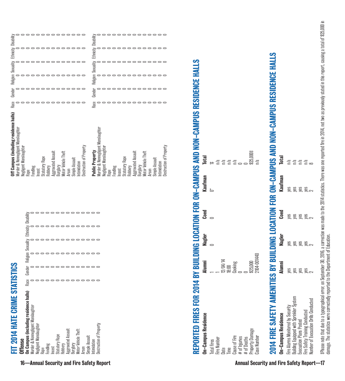FIT 2014 HATE CRIME STATISTICS FIT 2014 HATE CRIME STATISTICS

| <b>htense</b>                                                               |      |        |                                         |  |
|-----------------------------------------------------------------------------|------|--------|-----------------------------------------|--|
| In Campus (including residence halls)<br>lurder & Nonnegligent Manslaughter | Race | Gender | Religion Sexuality Ethnicity Disability |  |
| <b>Vegligent Manslaughter</b>                                               |      |        |                                         |  |
| Hape                                                                        |      |        |                                         |  |
| Fondling                                                                    |      |        |                                         |  |
| Incest                                                                      |      |        |                                         |  |
| <b>Statutory Rape</b>                                                       |      |        |                                         |  |
| Robbery                                                                     |      |        |                                         |  |
| Aggravated Assault                                                          |      |        |                                         |  |
| lurglary                                                                    |      |        |                                         |  |
| Motor Vehicle Theft                                                         |      |        |                                         |  |
| <b>Arson</b>                                                                |      |        |                                         |  |
| Simple Assault                                                              |      |        |                                         |  |
| <b>ntimidation</b>                                                          |      |        |                                         |  |
| lestruction of Property                                                     |      |        |                                         |  |

| Off Campus (including residence halls) | Race | Gender | Religion Sexuality | Ethnicity | Disability |
|----------------------------------------|------|--------|--------------------|-----------|------------|
| Murder & Nonnegligent Manslaughter     |      |        |                    |           |            |
| Negligent Manslaughter                 |      |        |                    |           |            |
| Rape                                   |      |        |                    |           |            |
| Fondling                               |      |        |                    |           |            |
| ncest                                  |      |        |                    |           |            |
| <b>Statutory Rape</b>                  |      |        |                    |           |            |
| Robbery                                |      |        |                    |           |            |
| Aggravated Assault                     |      |        |                    |           |            |
| Burglary                               |      |        |                    |           |            |
| Motor Vehicle Theft                    |      |        |                    |           |            |
| Arson                                  |      |        |                    |           |            |
| Simple Assault                         |      |        |                    |           |            |
| ntimidation                            |      |        |                    |           |            |
| Destruction of Property                |      |        |                    |           |            |
|                                        |      |        |                    |           |            |
| Public Property                        | Race | Gender | Religion Sexuality | Ethnicity | Disability |
| Murder & Nonnegligent Manslaughter     |      |        |                    |           |            |
| Negligent Manslaughter                 |      |        |                    |           |            |
| Rape                                   |      |        |                    |           |            |
| Fondling                               |      |        |                    |           |            |
| ncest                                  |      |        |                    |           |            |
| Statutory Rape                         |      |        |                    |           |            |
| Robbery                                |      |        |                    |           |            |
| Aggravated Assault                     |      |        |                    |           |            |
| Burglary                               |      |        |                    |           |            |
| Motor Vehicle Theft                    |      |        |                    |           |            |
| <b>Arson</b>                           |      |        |                    |           |            |
| Simple Assault                         |      |        |                    |           |            |
| ntimidation                            |      |        |                    |           |            |
| Destruction of Property                |      |        |                    |           |            |

# REPORTED FIRES FOR 2014 BY BUILDING LOCATION FOR ON-CAMPUS AND NON-CAMPUS RESIDENCE HALLS REPORTED FIRES FOR 2014 BY BUILDING LOCATION FOR ON-CAMPUS AND NON-CAMPUS RESIDENCE HALLS On-Campus Residence Alumni Nagler Coed Kaufman Total

| <b>On-Campus Residence</b><br>Total Fires<br>Fire Number<br>Date<br>Cause of Fire<br># of Deaths<br># of Deaths<br>Property Damage | <b>Alumni</b><br>1 1 12/04/14<br>18.00 00 06/6iig<br>0 00 06/6iig<br>2 104-001440<br>2 104-001440 | Nagler<br>0 | $\mathbf{C}{\mathbf{o}\mathbf{e}\mathbf{d}}$ | Kaufman $0^*$ | $\frac{1}{10}$ # $\frac{1}{2}$ $\frac{1}{2}$ $\frac{1}{2}$ $\frac{1}{2}$ $\frac{1}{2}$ $\frac{1}{2}$ $\frac{1}{2}$ $\frac{1}{2}$ $\frac{1}{2}$ $\frac{1}{2}$ $\frac{1}{2}$ $\frac{1}{2}$ $\frac{1}{2}$ $\frac{1}{2}$ $\frac{1}{2}$ $\frac{1}{2}$ $\frac{1}{2}$ $\frac{1}{2}$ $\frac{1}{2}$ $\frac{1}{2}$ $\frac{1}{2}$ |
|------------------------------------------------------------------------------------------------------------------------------------|---------------------------------------------------------------------------------------------------|-------------|----------------------------------------------|---------------|------------------------------------------------------------------------------------------------------------------------------------------------------------------------------------------------------------------------------------------------------------------------------------------------------------------------|
|                                                                                                                                    |                                                                                                   |             |                                              |               |                                                                                                                                                                                                                                                                                                                        |
|                                                                                                                                    |                                                                                                   |             |                                              |               |                                                                                                                                                                                                                                                                                                                        |
|                                                                                                                                    |                                                                                                   |             |                                              |               |                                                                                                                                                                                                                                                                                                                        |
|                                                                                                                                    |                                                                                                   |             |                                              |               |                                                                                                                                                                                                                                                                                                                        |
|                                                                                                                                    |                                                                                                   |             |                                              |               |                                                                                                                                                                                                                                                                                                                        |
|                                                                                                                                    |                                                                                                   |             |                                              |               |                                                                                                                                                                                                                                                                                                                        |
|                                                                                                                                    |                                                                                                   |             |                                              |               |                                                                                                                                                                                                                                                                                                                        |
|                                                                                                                                    |                                                                                                   |             |                                              |               | \$25,000‡<br>n/a                                                                                                                                                                                                                                                                                                       |
|                                                                                                                                    |                                                                                                   |             |                                              |               |                                                                                                                                                                                                                                                                                                                        |
|                                                                                                                                    |                                                                                                   |             |                                              |               |                                                                                                                                                                                                                                                                                                                        |

# 2014 FIRE SAFETY AMENITIES BY BUILDING LOCATION FOR ON-CAMPUS AND NON-CAMPUS RESIDENCE HALLS 2014 FIRE SAFETY AMENITIES BY BUILDING LOCATION FOR ON-CAMPUS AND NON-CAMPUS RESIDENCE HALLS

|                                           |                                         |                                                                                                                                                       | $\begin{array}{r} \text{Total} \ \text{Total} \ \mathbb{R}^2 \ \mathbb{R}^2 \ \mathbb{R}^2 \ \mathbb{R}^2 \ \mathbb{R}^2 \end{array}$ |
|-------------------------------------------|-----------------------------------------|-------------------------------------------------------------------------------------------------------------------------------------------------------|---------------------------------------------------------------------------------------------------------------------------------------|
|                                           |                                         |                                                                                                                                                       |                                                                                                                                       |
|                                           |                                         |                                                                                                                                                       |                                                                                                                                       |
|                                           |                                         |                                                                                                                                                       |                                                                                                                                       |
|                                           |                                         |                                                                                                                                                       |                                                                                                                                       |
| <b>Alumni</b><br>Yes<br>Si Si Si Si Si Oi | <b>Magler</b><br>Yes<br>A Signal Signal | $\frac{1}{2}$<br>$\frac{1}{2}$<br>$\frac{1}{2}$<br>$\frac{1}{2}$<br>$\frac{1}{2}$<br>$\frac{1}{2}$<br>$\frac{1}{2}$<br>$\frac{1}{2}$<br>$\frac{1}{2}$ | <b>Kaufman</b><br>yes<br>yes<br>yes<br>yes<br>yes                                                                                     |

#Please note that due to a typographical error, on September 30, 2016, a correction was made to the 2014 statistics. There was one reported fire in 2014, not two as previously stated in this report, causing a total of \$25, FPlease note that due to a typographical error, on September 30, 2016, a correction was made to the 2014 atated free in 2014, not two as previously stated in this report, causing a total of \$25,000 in damage. The statistics were correctedly reported to the Department of Education.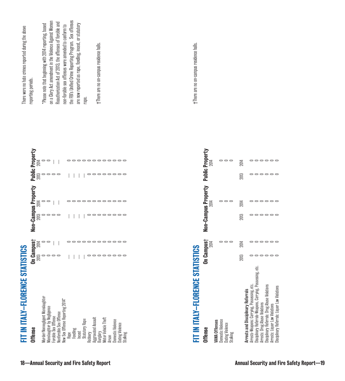| New Sex Offense Reporting 2014*<br>Manslaughter by Negligence<br>Nonforcible Sex Offense<br>Forcible Sex Offense<br><b>Aggravated Assault</b><br>Burglary<br>Motor Vehicle Theft<br><b>Statutory Rape</b><br><b>Domestic Violence</b><br>Dating Violence<br>Fondling<br>Incest<br>Rape<br>Stalking<br>Robbery<br>Arson | $\begin{array}{ccc} \textbf{On } \textbf{Campus} + \textbf{non} & \textbf{non} \\ \textbf{2013} & \textbf{2014} & \textbf{0} \\ \textbf{0} & \textbf{0} & \textbf{0} \\ \textbf{0} & \textbf{0} & \textbf{0} \\ \textbf{0} & \textbf{0} & \textbf{0} \end{array}$<br>------------<br>--------- | $\circ$ $\circ$ $\circ$<br>-------- | ------------                                           | $\circ \circ \circ \circ$<br>--------- | $\frac{1}{20}$ = $\frac{1}{20}$<br>------------   | the FBI's Unified Crime Reporting Program. Sex offenses<br>Reauthorization Act of 2013, the offenses of forcible and<br>are now reported as rape, fonding, incest, or statutory<br>non-forcible sex offenses were amended to conform to<br>t-There are no on-campus residence halls.<br>rape. |
|------------------------------------------------------------------------------------------------------------------------------------------------------------------------------------------------------------------------------------------------------------------------------------------------------------------------|------------------------------------------------------------------------------------------------------------------------------------------------------------------------------------------------------------------------------------------------------------------------------------------------|-------------------------------------|--------------------------------------------------------|----------------------------------------|---------------------------------------------------|-----------------------------------------------------------------------------------------------------------------------------------------------------------------------------------------------------------------------------------------------------------------------------------------------|
| FIT IN ITALY-FLORENCE STATISTICS<br>Domestic Violence<br><b>VAWA Offenses</b><br>Dating Violence<br>Stalking<br><b>Offense</b>                                                                                                                                                                                         | On Campus†<br>$\circ$ $\circ$<br>2014                                                                                                                                                                                                                                                          |                                     | Non-Campus Property<br>$\circ$ $\circ$ $\circ$<br>2014 |                                        | <b>Public Property</b><br>$\circ$ $\circ$<br>2014 | t-There are no on-campus residence halls.                                                                                                                                                                                                                                                     |
| Disciplinary Referrals-Weapons, Carrying, Possessing, etc.<br>Arrests-Weapons: Carrying, Possessing, etc.<br>Disciplinary Referrals: Drug Abuse Violations<br>Arrests: Liquor Law Violations<br>Disciplinary Referrals: Liquor Law Violations<br>Arrests and Disciplinary Referrals<br>Arrests: Drug Abuse Violations  | 000000<br>2014<br>000000<br>2013                                                                                                                                                                                                                                                               | ------<br>2013                      | ------<br>2014                                         | 000000<br>2013                         | ------<br>2014                                    |                                                                                                                                                                                                                                                                                               |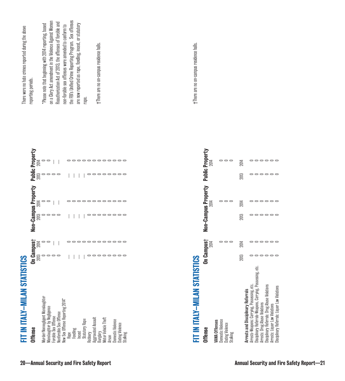| t-There are no on-campus residence halls.<br>t-There are no on-campus residence halls.<br>rape.<br><b>Public Property</b><br>------------<br>------<br>$\circ$ $\circ$<br>2014<br>2014<br>$\circ \circ \circ \circ$<br>---------<br>------<br>2013<br>Non-Campus Property<br>------<br>------------<br>$\circ$ $\circ$ $\circ$<br>2014<br>2014<br>---------<br>------<br>$\circ$ $\circ$ $\circ$<br>2013<br>On Campust<br>$\circ$ $\circ$<br>000000<br>------------<br>2014<br>2014<br>---------<br>000000<br>2013<br><b>SallSL</b><br>Disciplinary Referrals-Weapons, Carrying, Possessing, etc.<br>FIT IN ITALY-MILAN STAT<br>Arrests-Weapons: Carrying, Possessing, etc.<br>Disciplinary Referrals: Drug Abuse Violations<br>Arrests: Liquor Law Violations<br>Arrests and Disciplinary Referrals<br>Murder/Nonnegligent Manslaughter<br>New Sex Offense Reporting 2014*<br><b>Arrests: Drug Abuse Violations</b><br>Manslaughter by Negligence<br>Nonforcible Sex Offense<br>Forcible Sex Offense<br><b>Aggravated Assault</b><br>Burglary<br>Motor Vehicle Theft<br><b>Statutory Rape</b><br>Domestic Violence<br>Domestic Violence<br><b>VAWA Offenses</b><br>Dating Violence<br>Dating Violence<br>Stalking<br><b>Offense</b><br>Fondling<br>Incest<br>Rape<br>Stalking<br>Robbery<br>Arson | Disciplinary Referrals: Liquor Law Violations | FIT IN ITALY-MILAN STAT<br><b>Offense</b> | <b>ISTICS</b>                                                                                                                                                     |      | Non-Campus Property |      | <b>Public Property</b>          | There were no hate crimes reported during the above<br>reporting periods.                                                                                                                                                                                                                                                                                   |
|----------------------------------------------------------------------------------------------------------------------------------------------------------------------------------------------------------------------------------------------------------------------------------------------------------------------------------------------------------------------------------------------------------------------------------------------------------------------------------------------------------------------------------------------------------------------------------------------------------------------------------------------------------------------------------------------------------------------------------------------------------------------------------------------------------------------------------------------------------------------------------------------------------------------------------------------------------------------------------------------------------------------------------------------------------------------------------------------------------------------------------------------------------------------------------------------------------------------------------------------------------------------------------------------------|-----------------------------------------------|-------------------------------------------|-------------------------------------------------------------------------------------------------------------------------------------------------------------------|------|---------------------|------|---------------------------------|-------------------------------------------------------------------------------------------------------------------------------------------------------------------------------------------------------------------------------------------------------------------------------------------------------------------------------------------------------------|
|                                                                                                                                                                                                                                                                                                                                                                                                                                                                                                                                                                                                                                                                                                                                                                                                                                                                                                                                                                                                                                                                                                                                                                                                                                                                                                    |                                               |                                           | $\begin{array}{lll} \textbf{On } \textbf{Campus}^+\\ \textbf{2013} & 2014 \\ 0 & 0 \\ 0 & 0 \\ 0 & 0 \\ 0 & 0 \\ \end{array} \quad \  \  -\quad \  \  \, \square$ | 2013 | $\sum_{i=1}^{n}$    | 2013 | $\frac{1}{20}$ = $\frac{1}{20}$ | the FBI's Unified Crime Reporting Program. Sex offenses<br>on a Clery Act amendment in the Violence Against Women<br>Reauthorization Act of 2013, the offenses of forcible and<br>are now reported as rape, fonding, incest, or statutory<br>*Please note that beginning with 2014 reporting, based<br>non-forcible sex offenses were amended to conform to |
|                                                                                                                                                                                                                                                                                                                                                                                                                                                                                                                                                                                                                                                                                                                                                                                                                                                                                                                                                                                                                                                                                                                                                                                                                                                                                                    |                                               |                                           |                                                                                                                                                                   |      |                     |      |                                 |                                                                                                                                                                                                                                                                                                                                                             |
|                                                                                                                                                                                                                                                                                                                                                                                                                                                                                                                                                                                                                                                                                                                                                                                                                                                                                                                                                                                                                                                                                                                                                                                                                                                                                                    |                                               |                                           |                                                                                                                                                                   |      |                     |      |                                 |                                                                                                                                                                                                                                                                                                                                                             |
|                                                                                                                                                                                                                                                                                                                                                                                                                                                                                                                                                                                                                                                                                                                                                                                                                                                                                                                                                                                                                                                                                                                                                                                                                                                                                                    |                                               |                                           |                                                                                                                                                                   |      |                     |      |                                 |                                                                                                                                                                                                                                                                                                                                                             |
|                                                                                                                                                                                                                                                                                                                                                                                                                                                                                                                                                                                                                                                                                                                                                                                                                                                                                                                                                                                                                                                                                                                                                                                                                                                                                                    |                                               |                                           |                                                                                                                                                                   |      |                     |      |                                 |                                                                                                                                                                                                                                                                                                                                                             |
|                                                                                                                                                                                                                                                                                                                                                                                                                                                                                                                                                                                                                                                                                                                                                                                                                                                                                                                                                                                                                                                                                                                                                                                                                                                                                                    |                                               |                                           |                                                                                                                                                                   |      |                     |      |                                 |                                                                                                                                                                                                                                                                                                                                                             |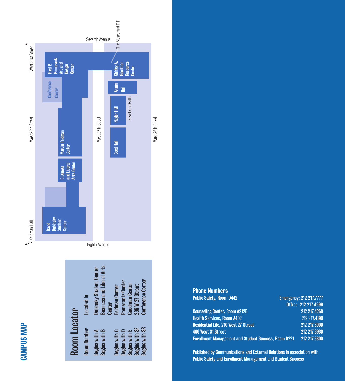

|              | <b>Located In</b> | <b>Business and Liberal Arts</b><br>Dubinsky Student Center<br><b>Center</b> | Pomerantz Center<br>Goodman Center<br><b>Feldman Center</b>          | <b>Conference Center</b><br>236 W 27 Street |
|--------------|-------------------|------------------------------------------------------------------------------|----------------------------------------------------------------------|---------------------------------------------|
| Room Locator | Room Number       | Begins with A<br><b>Begins with B</b>                                        | <b>Begins with E</b><br><b>Begins with D</b><br><b>Begins with C</b> | <b>Begins with SR</b><br>Begins with SF     |

CAMPUS MAP

**CAMPUS MAP** 

| <b>Phone Numbers</b>                 |                                |
|--------------------------------------|--------------------------------|
| <b>Public Safety, Room D442</b>      | <b>Emergency: 212 217,7777</b> |
|                                      | Office: 212 217.4999           |
| <b>Counseling Center, Room A212B</b> | 212 217.4260                   |
| Hoalth Ramvinge, Room MANO           | <b>919 917 4100</b>            |

Residential Life, 210 West 27 Street

Emergency: 212 217.7777 Office: 212 217.4999 Health Services, Room A402 212 217.4190 406 West 31 Street 212 217.3930 Enrollment Management and Student Success, Room B221 212 217.3800

Published by Communications and External Relations in association with Public Safety and Enrollment Management and Student Success